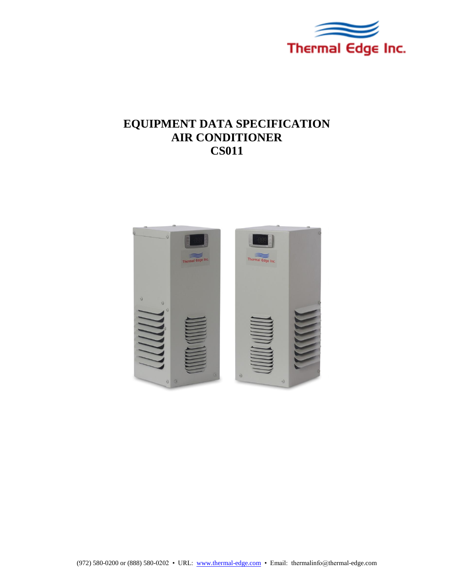

# **EQUIPMENT DATA SPECIFICATION AIR CONDITIONER CS011**

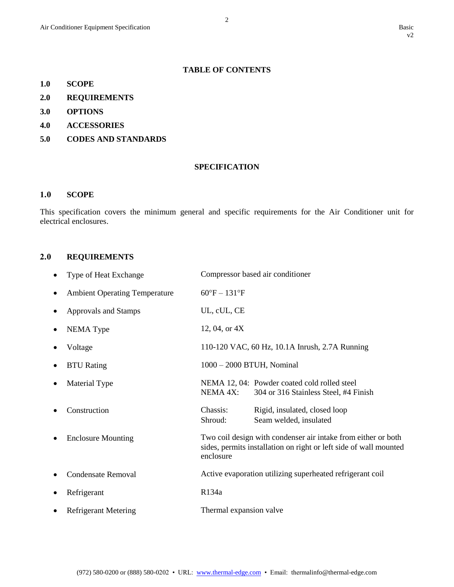## **TABLE OF CONTENTS**

- **1.0 SCOPE**
- **2.0 REQUIREMENTS**
- **3.0 OPTIONS**
- **4.0 ACCESSORIES**
- **5.0 CODES AND STANDARDS**

#### **SPECIFICATION**

#### **1.0 SCOPE**

This specification covers the minimum general and specific requirements for the Air Conditioner unit for electrical enclosures.

# **2.0 REQUIREMENTS**

|   | Type of Heat Exchange                |                              | Compressor based air conditioner                                                                                                   |
|---|--------------------------------------|------------------------------|------------------------------------------------------------------------------------------------------------------------------------|
| ٠ | <b>Ambient Operating Temperature</b> | $60^{\circ}F - 131^{\circ}F$ |                                                                                                                                    |
|   | Approvals and Stamps                 | UL, cUL, CE                  |                                                                                                                                    |
|   | <b>NEMA</b> Type                     | 12, 04, or $4X$              |                                                                                                                                    |
|   | Voltage                              |                              | 110-120 VAC, 60 Hz, 10.1A Inrush, 2.7A Running                                                                                     |
|   | <b>BTU</b> Rating                    | $1000 - 2000$ BTUH, Nominal  |                                                                                                                                    |
|   | Material Type                        | NEMA 4X:                     | NEMA 12, 04: Powder coated cold rolled steel<br>304 or 316 Stainless Steel, #4 Finish                                              |
|   | Construction                         | Chassis:<br>Shroud:          | Rigid, insulated, closed loop<br>Seam welded, insulated                                                                            |
|   | <b>Enclosure Mounting</b>            | enclosure                    | Two coil design with condenser air intake from either or both<br>sides, permits installation on right or left side of wall mounted |
|   | <b>Condensate Removal</b>            |                              | Active evaporation utilizing superheated refrigerant coil                                                                          |
|   | Refrigerant                          | R134a                        |                                                                                                                                    |
|   | <b>Refrigerant Metering</b>          | Thermal expansion valve      |                                                                                                                                    |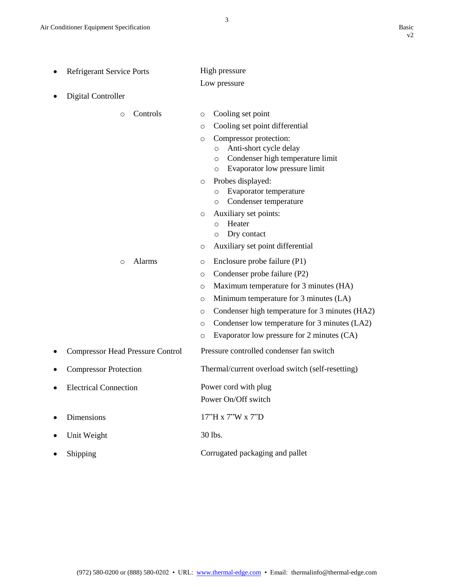| <b>Refrigerant Service Ports</b>        | High pressure                                                                                                                                   |  |
|-----------------------------------------|-------------------------------------------------------------------------------------------------------------------------------------------------|--|
|                                         | Low pressure                                                                                                                                    |  |
| <b>Digital Controller</b>               |                                                                                                                                                 |  |
| Controls<br>$\circ$                     | Cooling set point<br>$\circ$                                                                                                                    |  |
|                                         | Cooling set point differential<br>O                                                                                                             |  |
|                                         | Compressor protection:<br>O<br>Anti-short cycle delay<br>O<br>Condenser high temperature limit<br>$\circ$<br>Evaporator low pressure limit<br>O |  |
|                                         | Probes displayed:<br>O<br>Evaporator temperature<br>O<br>Condenser temperature<br>O                                                             |  |
|                                         | Auxiliary set points:<br>$\circ$<br>Heater<br>$\circ$<br>Dry contact<br>O                                                                       |  |
|                                         | Auxiliary set point differential<br>O                                                                                                           |  |
| Alarms<br>$\circ$                       | Enclosure probe failure (P1)<br>O                                                                                                               |  |
|                                         | Condenser probe failure (P2)<br>O                                                                                                               |  |
|                                         | Maximum temperature for 3 minutes (HA)<br>O                                                                                                     |  |
|                                         | Minimum temperature for 3 minutes (LA)<br>O                                                                                                     |  |
|                                         | Condenser high temperature for 3 minutes (HA2)<br>O                                                                                             |  |
|                                         | Condenser low temperature for 3 minutes (LA2)<br>O                                                                                              |  |
|                                         | Evaporator low pressure for 2 minutes (CA)<br>$\circ$                                                                                           |  |
| <b>Compressor Head Pressure Control</b> | Pressure controlled condenser fan switch                                                                                                        |  |
| <b>Compressor Protection</b>            | Thermal/current overload switch (self-resetting)                                                                                                |  |
| <b>Electrical Connection</b>            | Power cord with plug                                                                                                                            |  |
|                                         | Power On/Off switch                                                                                                                             |  |
| Dimensions                              | 17"H x 7"W x 7"D                                                                                                                                |  |
| Unit Weight                             | 30 lbs.                                                                                                                                         |  |
| Shipping                                | Corrugated packaging and pallet                                                                                                                 |  |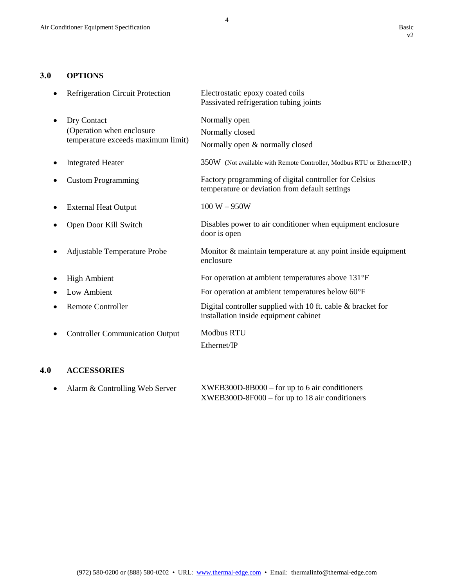4

## **3.0 OPTIONS**

| Refrigeration Circuit Protection                                               | Electrostatic epoxy coated coils<br>Passivated refrigeration tubing joints                              |
|--------------------------------------------------------------------------------|---------------------------------------------------------------------------------------------------------|
| Dry Contact<br>(Operation when enclosure<br>temperature exceeds maximum limit) | Normally open<br>Normally closed<br>Normally open & normally closed                                     |
| <b>Integrated Heater</b>                                                       | 350W (Not available with Remote Controller, Modbus RTU or Ethernet/IP.)                                 |
| <b>Custom Programming</b>                                                      | Factory programming of digital controller for Celsius<br>temperature or deviation from default settings |
| <b>External Heat Output</b>                                                    | $100 W - 950W$                                                                                          |
| Open Door Kill Switch                                                          | Disables power to air conditioner when equipment enclosure<br>door is open                              |
| Adjustable Temperature Probe                                                   | Monitor & maintain temperature at any point inside equipment<br>enclosure                               |
| <b>High Ambient</b>                                                            | For operation at ambient temperatures above 131°F                                                       |
| Low Ambient                                                                    | For operation at ambient temperatures below 60°F                                                        |
| <b>Remote Controller</b>                                                       | Digital controller supplied with 10 ft. cable & bracket for<br>installation inside equipment cabinet    |
| <b>Controller Communication Output</b>                                         | <b>Modbus RTU</b><br>Ethernet/IP                                                                        |

# **4.0 ACCESSORIES**

| • Alarm $&$ Controlling Web Server | $XWEB300D-8B000 - for up to 6 air conditions$  |  |
|------------------------------------|------------------------------------------------|--|
|                                    | $XWEB300D-8F000 - for up to 18 air conditions$ |  |